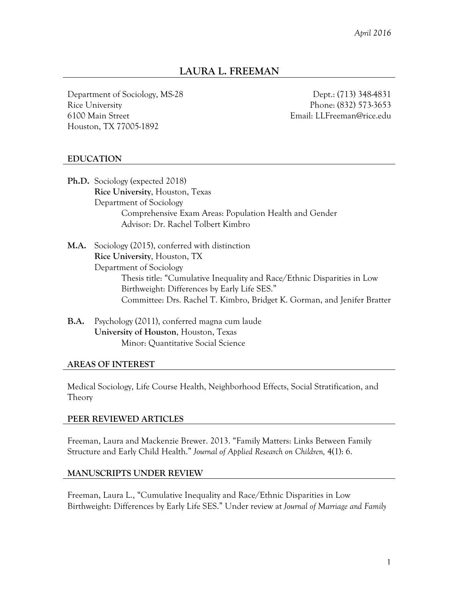# **LAURA L. FREEMAN**

Department of Sociology, MS-28 Rice University 6100 Main Street Houston, TX 77005-1892

Dept.: (713) 348-4831 Phone: (832) 573-3653 Email: LLFreeman@rice.edu

# **EDUCATION**

**Ph.D.** Sociology (expected 2018) **Rice University**, Houston, Texas Department of Sociology Comprehensive Exam Areas: Population Health and Gender Advisor: Dr. Rachel Tolbert Kimbro

**M.A.** Sociology (2015), conferred with distinction **Rice University**, Houston, TX Department of Sociology Thesis title: "Cumulative Inequality and Race/Ethnic Disparities in Low Birthweight: Differences by Early Life SES." Committee: Drs. Rachel T. Kimbro, Bridget K. Gorman, and Jenifer Bratter

**B.A.** Psychology (2011), conferred magna cum laude **University of Houston**, Houston, Texas Minor: Quantitative Social Science

### **AREAS OF INTEREST**

Medical Sociology, Life Course Health, Neighborhood Effects, Social Stratification, and Theory

### **PEER REVIEWED ARTICLES**

Freeman, Laura and Mackenzie Brewer. 2013. "Family Matters: Links Between Family Structure and Early Child Health." *Journal of Applied Research on Children,* 4(1): 6.

### **MANUSCRIPTS UNDER REVIEW**

Freeman, Laura L., "Cumulative Inequality and Race/Ethnic Disparities in Low Birthweight: Differences by Early Life SES." Under review at *Journal of Marriage and Family*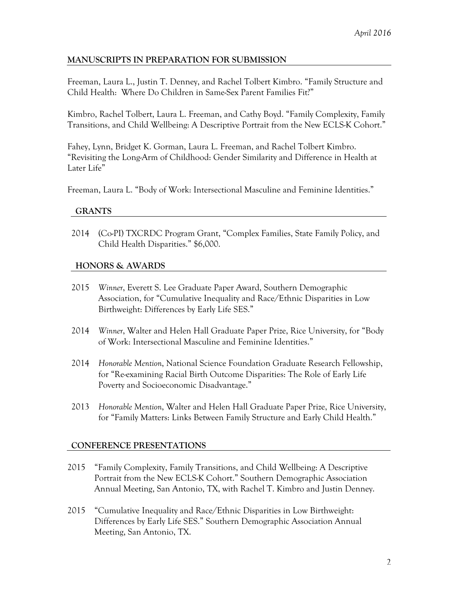# **MANUSCRIPTS IN PREPARATION FOR SUBMISSION**

Freeman, Laura L., Justin T. Denney, and Rachel Tolbert Kimbro. "Family Structure and Child Health: Where Do Children in Same-Sex Parent Families Fit?"

Kimbro, Rachel Tolbert, Laura L. Freeman, and Cathy Boyd. "Family Complexity, Family Transitions, and Child Wellbeing: A Descriptive Portrait from the New ECLS-K Cohort."

Fahey, Lynn, Bridget K. Gorman, Laura L. Freeman, and Rachel Tolbert Kimbro. "Revisiting the Long-Arm of Childhood: Gender Similarity and Difference in Health at Later Life"

Freeman, Laura L. "Body of Work: Intersectional Masculine and Feminine Identities."

### **GRANTS**

2014 (Co-PI) TXCRDC Program Grant, "Complex Families, State Family Policy, and Child Health Disparities." \$6,000.

### **HONORS & AWARDS**

- 2015 *Winner*, Everett S. Lee Graduate Paper Award, Southern Demographic Association, for "Cumulative Inequality and Race/Ethnic Disparities in Low Birthweight: Differences by Early Life SES."
- 2014 *Winner*, Walter and Helen Hall Graduate Paper Prize, Rice University, for "Body of Work: Intersectional Masculine and Feminine Identities."
- 2014 *Honorable Mention*, National Science Foundation Graduate Research Fellowship, for "Re-examining Racial Birth Outcome Disparities: The Role of Early Life Poverty and Socioeconomic Disadvantage."
- 2013 *Honorable Mention*, Walter and Helen Hall Graduate Paper Prize, Rice University, for "Family Matters: Links Between Family Structure and Early Child Health."

# **CONFERENCE PRESENTATIONS**

- 2015 "Family Complexity, Family Transitions, and Child Wellbeing: A Descriptive Portrait from the New ECLS-K Cohort." Southern Demographic Association Annual Meeting, San Antonio, TX, with Rachel T. Kimbro and Justin Denney.
- 2015 "Cumulative Inequality and Race/Ethnic Disparities in Low Birthweight: Differences by Early Life SES." Southern Demographic Association Annual Meeting, San Antonio, TX.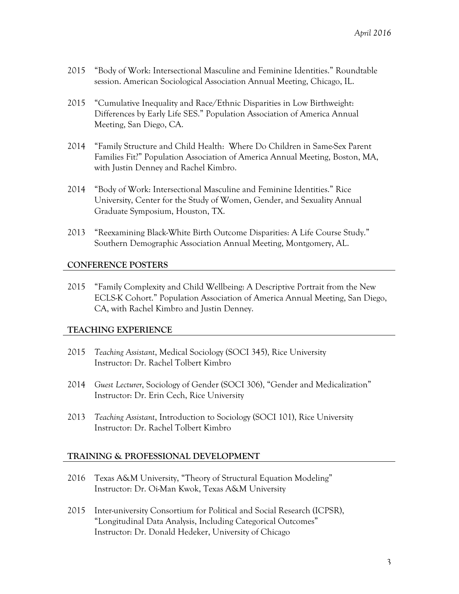- 2015 "Body of Work: Intersectional Masculine and Feminine Identities." Roundtable session. American Sociological Association Annual Meeting, Chicago, IL.
- 2015 "Cumulative Inequality and Race/Ethnic Disparities in Low Birthweight: Differences by Early Life SES." Population Association of America Annual Meeting, San Diego, CA.
- 2014 "Family Structure and Child Health: Where Do Children in Same-Sex Parent Families Fit?" Population Association of America Annual Meeting, Boston, MA, with Justin Denney and Rachel Kimbro.
- 2014 "Body of Work: Intersectional Masculine and Feminine Identities." Rice University, Center for the Study of Women, Gender, and Sexuality Annual Graduate Symposium, Houston, TX.
- 2013 "Reexamining Black-White Birth Outcome Disparities: A Life Course Study." Southern Demographic Association Annual Meeting, Montgomery, AL.

### **CONFERENCE POSTERS**

2015 "Family Complexity and Child Wellbeing: A Descriptive Portrait from the New ECLS-K Cohort." Population Association of America Annual Meeting, San Diego, CA, with Rachel Kimbro and Justin Denney.

### **TEACHING EXPERIENCE**

- 2015 *Teaching Assistant*, Medical Sociology (SOCI 345), Rice University Instructor: Dr. Rachel Tolbert Kimbro
- 2014 *Guest Lecturer*, Sociology of Gender (SOCI 306), "Gender and Medicalization" Instructor: Dr. Erin Cech, Rice University
- 2013 *Teaching Assistant*, Introduction to Sociology (SOCI 101), Rice University Instructor: Dr. Rachel Tolbert Kimbro

### **TRAINING & PROFESSIONAL DEVELOPMENT**

- 2016 Texas A&M University, "Theory of Structural Equation Modeling" Instructor: Dr. Oi-Man Kwok, Texas A&M University
- 2015 Inter-university Consortium for Political and Social Research (ICPSR), "Longitudinal Data Analysis, Including Categorical Outcomes" Instructor: Dr. Donald Hedeker, University of Chicago